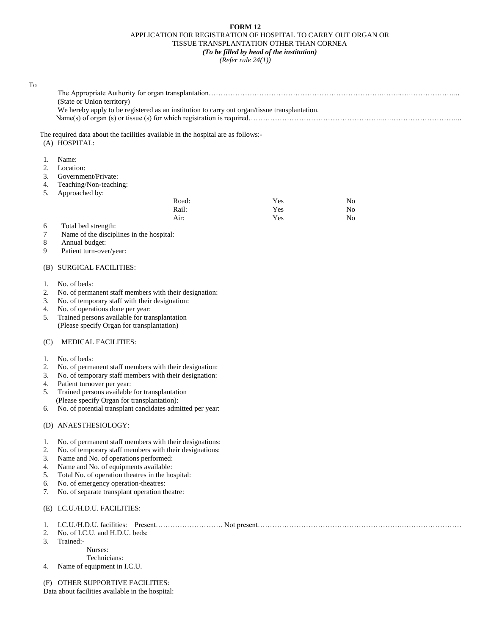## **FORM 12** APPLICATION FOR REGISTRATION OF HOSPITAL TO CARRY OUT ORGAN OR TISSUE TRANSPLANTATION OTHER THAN CORNEA *(To be filled by head of the institution)*

*(Refer rule 24(1))*

| To       |                                                                                                                  |  |     |  |                |  |  |
|----------|------------------------------------------------------------------------------------------------------------------|--|-----|--|----------------|--|--|
|          |                                                                                                                  |  |     |  |                |  |  |
|          | (State or Union territory)                                                                                       |  |     |  |                |  |  |
|          | We hereby apply to be registered as an institution to carry out organ/tissue transplantation.                    |  |     |  |                |  |  |
|          |                                                                                                                  |  |     |  |                |  |  |
|          |                                                                                                                  |  |     |  |                |  |  |
|          | The required data about the facilities available in the hospital are as follows:-                                |  |     |  |                |  |  |
|          | (A) HOSPITAL:                                                                                                    |  |     |  |                |  |  |
|          | Name:                                                                                                            |  |     |  |                |  |  |
| 1.<br>2. | Location:                                                                                                        |  |     |  |                |  |  |
| 3.       | Government/Private:                                                                                              |  |     |  |                |  |  |
| 4.       | Teaching/Non-teaching:                                                                                           |  |     |  |                |  |  |
| 5.       | Approached by:                                                                                                   |  |     |  |                |  |  |
|          | Road:                                                                                                            |  | Yes |  | No             |  |  |
|          | Rail:                                                                                                            |  | Yes |  | N <sub>o</sub> |  |  |
|          | Air:                                                                                                             |  | Yes |  | N <sub>0</sub> |  |  |
| 6        | Total bed strength:                                                                                              |  |     |  |                |  |  |
| 7        | Name of the disciplines in the hospital:                                                                         |  |     |  |                |  |  |
| 8        | Annual budget:                                                                                                   |  |     |  |                |  |  |
| 9        | Patient turn-over/year:                                                                                          |  |     |  |                |  |  |
|          |                                                                                                                  |  |     |  |                |  |  |
| (B)      | <b>SURGICAL FACILITIES:</b>                                                                                      |  |     |  |                |  |  |
|          | No. of beds:                                                                                                     |  |     |  |                |  |  |
| 1.<br>2. |                                                                                                                  |  |     |  |                |  |  |
| 3.       | No. of permanent staff members with their designation:<br>No. of temporary staff with their designation:         |  |     |  |                |  |  |
| 4.       | No. of operations done per year:                                                                                 |  |     |  |                |  |  |
| 5.       | Trained persons available for transplantation                                                                    |  |     |  |                |  |  |
|          | (Please specify Organ for transplantation)                                                                       |  |     |  |                |  |  |
|          |                                                                                                                  |  |     |  |                |  |  |
| (C)      | <b>MEDICAL FACILITIES:</b>                                                                                       |  |     |  |                |  |  |
|          |                                                                                                                  |  |     |  |                |  |  |
| 1.       | No. of beds:                                                                                                     |  |     |  |                |  |  |
| 2.<br>3. | No. of permanent staff members with their designation:<br>No. of temporary staff members with their designation: |  |     |  |                |  |  |
| 4.       | Patient turnover per year:                                                                                       |  |     |  |                |  |  |
| 5.       | Trained persons available for transplantation                                                                    |  |     |  |                |  |  |
|          | (Please specify Organ for transplantation):                                                                      |  |     |  |                |  |  |
| 6.       | No. of potential transplant candidates admitted per year:                                                        |  |     |  |                |  |  |
|          |                                                                                                                  |  |     |  |                |  |  |
|          | (D) ANAESTHESIOLOGY:                                                                                             |  |     |  |                |  |  |
|          |                                                                                                                  |  |     |  |                |  |  |
| I.       | No. of permanent staff members with their designations:                                                          |  |     |  |                |  |  |
| 2.       | No. of temporary staff members with their designations:                                                          |  |     |  |                |  |  |
| 3.       | Name and No. of operations performed:                                                                            |  |     |  |                |  |  |
| 4.<br>5. | Name and No. of equipments available:                                                                            |  |     |  |                |  |  |
| 6.       | Total No. of operation theatres in the hospital:<br>No. of emergency operation-theatres:                         |  |     |  |                |  |  |
| 7.       | No. of separate transplant operation theatre:                                                                    |  |     |  |                |  |  |
|          |                                                                                                                  |  |     |  |                |  |  |
|          | (E) I.C.U./H.D.U. FACILITIES:                                                                                    |  |     |  |                |  |  |
|          |                                                                                                                  |  |     |  |                |  |  |
| 1.<br>2. | No. of I.C.U. and H.D.U. beds:                                                                                   |  |     |  |                |  |  |
| 3.       | Trained:-                                                                                                        |  |     |  |                |  |  |
|          | Nurses:                                                                                                          |  |     |  |                |  |  |
|          | Technicians:                                                                                                     |  |     |  |                |  |  |
| 4.       | Name of equipment in I.C.U.                                                                                      |  |     |  |                |  |  |
|          |                                                                                                                  |  |     |  |                |  |  |
| (F)      | OTHER SUPPORTIVE FACILITIES:                                                                                     |  |     |  |                |  |  |

Data about facilities available in the hospital: